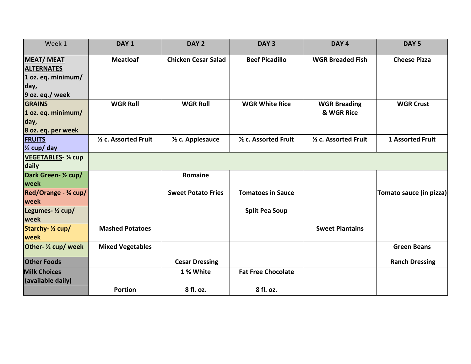| Week 1                                | DAY <sub>1</sub>        | DAY <sub>2</sub>              | DAY <sub>3</sub>          | DAY <sub>4</sub>        | DAY <sub>5</sub>        |
|---------------------------------------|-------------------------|-------------------------------|---------------------------|-------------------------|-------------------------|
| <b>MEAT/MEAT</b><br><b>ALTERNATES</b> | <b>Meatloaf</b>         | <b>Chicken Cesar Salad</b>    | <b>Beef Picadillo</b>     | <b>WGR Breaded Fish</b> | <b>Cheese Pizza</b>     |
| $1$ oz. eq. minimum/                  |                         |                               |                           |                         |                         |
| day,                                  |                         |                               |                           |                         |                         |
| $9$ oz. eq./ week                     |                         |                               |                           |                         |                         |
| <b>GRAINS</b>                         | <b>WGR Roll</b>         | <b>WGR Roll</b>               | <b>WGR White Rice</b>     | <b>WGR Breading</b>     | <b>WGR Crust</b>        |
| 1 oz. eq. minimum/                    |                         |                               |                           | & WGR Rice              |                         |
| day,                                  |                         |                               |                           |                         |                         |
| 8 oz. eq. per week                    |                         |                               |                           |                         |                         |
| <b>FRUITS</b>                         | 1/2 c. Assorted Fruit   | 1/ <sub>2</sub> c. Applesauce | 1/2 c. Assorted Fruit     | 1/2 c. Assorted Fruit   | <b>1 Assorted Fruit</b> |
| $\frac{1}{2}$ cup/ day                |                         |                               |                           |                         |                         |
| <b>VEGETABLES- % cup</b>              |                         |                               |                           |                         |                         |
| daily                                 |                         |                               |                           |                         |                         |
| Dark Green- 1/2 cup/                  |                         | Romaine                       |                           |                         |                         |
| <b>week</b>                           |                         |                               |                           |                         |                         |
| Red/Orange - 3/4 cup/<br>week         |                         | <b>Sweet Potato Fries</b>     | <b>Tomatoes in Sauce</b>  |                         | Tomato sauce (in pizza) |
| Legumes- 1/2 cup/<br>week             |                         |                               | <b>Split Pea Soup</b>     |                         |                         |
| Starchy- 1/2 cup/<br>week             | <b>Mashed Potatoes</b>  |                               |                           | <b>Sweet Plantains</b>  |                         |
| Other- 1/2 cup/ week                  | <b>Mixed Vegetables</b> |                               |                           |                         | <b>Green Beans</b>      |
| <b>Other Foods</b>                    |                         | <b>Cesar Dressing</b>         |                           |                         | <b>Ranch Dressing</b>   |
| <b>Milk Choices</b>                   |                         | 1 % White                     | <b>Fat Free Chocolate</b> |                         |                         |
| (available daily)                     |                         |                               |                           |                         |                         |
|                                       | <b>Portion</b>          | 8 fl. oz.                     | 8 fl. oz.                 |                         |                         |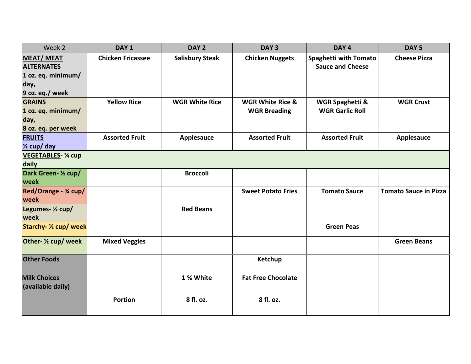| Week 2                                                                                 | DAY <sub>1</sub>         | DAY <sub>2</sub>       | DAY <sub>3</sub>                                   | DAY <sub>4</sub>                                        | DAY <sub>5</sub>             |
|----------------------------------------------------------------------------------------|--------------------------|------------------------|----------------------------------------------------|---------------------------------------------------------|------------------------------|
| <b>MEAT/MEAT</b><br><b>ALTERNATES</b><br>1 oz. eq. minimum/<br>day,<br>9 oz. eq./ week | <b>Chicken Fricassee</b> | <b>Salisbury Steak</b> | <b>Chicken Nuggets</b>                             | <b>Spaghetti with Tomato</b><br><b>Sauce and Cheese</b> | <b>Cheese Pizza</b>          |
| <b>GRAINS</b><br>$1$ oz. eq. minimum/<br>day,<br>8 oz. eq. per week                    | <b>Yellow Rice</b>       | <b>WGR White Rice</b>  | <b>WGR White Rice &amp;</b><br><b>WGR Breading</b> | <b>WGR Spaghetti &amp;</b><br><b>WGR Garlic Roll</b>    | <b>WGR Crust</b>             |
| <b>FRUITS</b><br>$\frac{1}{2}$ cup/ day                                                | <b>Assorted Fruit</b>    | <b>Applesauce</b>      | <b>Assorted Fruit</b>                              | <b>Assorted Fruit</b>                                   | Applesauce                   |
| <b>VEGETABLES- % cup</b><br>daily                                                      |                          |                        |                                                    |                                                         |                              |
| Dark Green- 1/2 cup/<br>week                                                           |                          | <b>Broccoli</b>        |                                                    |                                                         |                              |
| Red/Orange - 3⁄4 cup/<br>week                                                          |                          |                        | <b>Sweet Potato Fries</b>                          | <b>Tomato Sauce</b>                                     | <b>Tomato Sauce in Pizza</b> |
| Legumes- 1/2 cup/<br>week                                                              |                          | <b>Red Beans</b>       |                                                    |                                                         |                              |
| Starchy- 1/2 cup/ week                                                                 |                          |                        |                                                    | <b>Green Peas</b>                                       |                              |
| Other- 1/2 cup/ week                                                                   | <b>Mixed Veggies</b>     |                        |                                                    |                                                         | <b>Green Beans</b>           |
| <b>Other Foods</b>                                                                     |                          |                        | Ketchup                                            |                                                         |                              |
| <b>Milk Choices</b><br>(available daily)                                               |                          | 1 % White              | <b>Fat Free Chocolate</b>                          |                                                         |                              |
|                                                                                        | <b>Portion</b>           | 8 fl. oz.              | 8 fl. oz.                                          |                                                         |                              |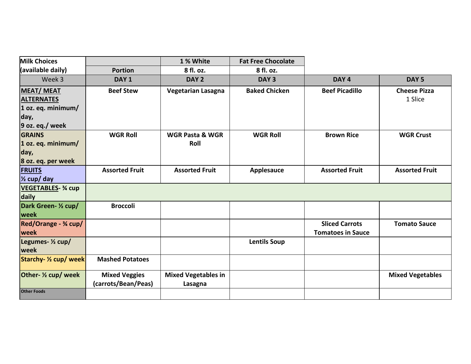| <b>Milk Choices</b>                   |                                             | 1 % White                             | <b>Fat Free Chocolate</b> |                          |                                |
|---------------------------------------|---------------------------------------------|---------------------------------------|---------------------------|--------------------------|--------------------------------|
| (available daily)                     | <b>Portion</b>                              | 8 fl. oz.                             | 8 fl. oz.                 |                          |                                |
| Week 3                                | DAY <sub>1</sub>                            | DAY <sub>2</sub>                      | DAY <sub>3</sub>          | DAY <sub>4</sub>         | DAY <sub>5</sub>               |
| <b>MEAT/MEAT</b><br><b>ALTERNATES</b> | <b>Beef Stew</b>                            | Vegetarian Lasagna                    | <b>Baked Chicken</b>      | <b>Beef Picadillo</b>    | <b>Cheese Pizza</b><br>1 Slice |
| 1 oz. eq. minimum/                    |                                             |                                       |                           |                          |                                |
| day,                                  |                                             |                                       |                           |                          |                                |
| 9 oz. eq./ week                       |                                             |                                       |                           |                          |                                |
| <b>GRAINS</b>                         | <b>WGR Roll</b>                             | <b>WGR Pasta &amp; WGR</b>            | <b>WGR Roll</b>           | <b>Brown Rice</b>        | <b>WGR Crust</b>               |
| $1$ oz. eq. minimum/                  |                                             | Roll                                  |                           |                          |                                |
| day,                                  |                                             |                                       |                           |                          |                                |
| 8 oz. eq. per week                    |                                             |                                       |                           |                          |                                |
| <b>FRUITS</b>                         | <b>Assorted Fruit</b>                       | <b>Assorted Fruit</b>                 | Applesauce                | <b>Assorted Fruit</b>    | <b>Assorted Fruit</b>          |
| 1/ <sub>2</sub> cup/ day              |                                             |                                       |                           |                          |                                |
| <b>VEGETABLES- 3⁄4 cup</b>            |                                             |                                       |                           |                          |                                |
| daily                                 |                                             |                                       |                           |                          |                                |
| Dark Green- 1/2 cup/                  | <b>Broccoli</b>                             |                                       |                           |                          |                                |
| week                                  |                                             |                                       |                           |                          |                                |
| Red/Orange - 3/4 cup/                 |                                             |                                       |                           | <b>Sliced Carrots</b>    | <b>Tomato Sauce</b>            |
| week                                  |                                             |                                       |                           | <b>Tomatoes in Sauce</b> |                                |
| Legumes- 1/2 cup/<br>week             |                                             |                                       | <b>Lentils Soup</b>       |                          |                                |
| Starchy- 1/2 cup/ week                | <b>Mashed Potatoes</b>                      |                                       |                           |                          |                                |
| Other- 1/2 cup/ week                  | <b>Mixed Veggies</b><br>(carrots/Bean/Peas) | <b>Mixed Vegetables in</b><br>Lasagna |                           |                          | <b>Mixed Vegetables</b>        |
| <b>Other Foods</b>                    |                                             |                                       |                           |                          |                                |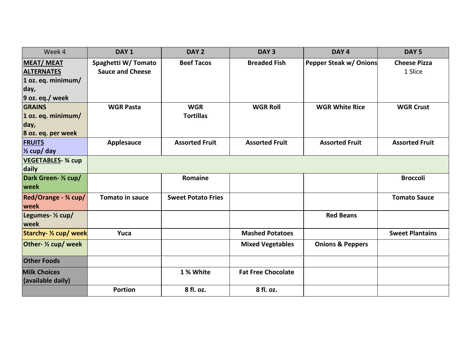| Week 4                                                            | DAY <sub>1</sub>                              | DAY <sub>2</sub>               | DAY <sub>3</sub>          | DAY <sub>4</sub>              | DAY <sub>5</sub>               |
|-------------------------------------------------------------------|-----------------------------------------------|--------------------------------|---------------------------|-------------------------------|--------------------------------|
| <b>MEAT/MEAT</b><br><b>ALTERNATES</b><br>$1$ oz. eq. minimum/     | Spaghetti W/Tomato<br><b>Sauce and Cheese</b> | <b>Beef Tacos</b>              | <b>Breaded Fish</b>       | <b>Pepper Steak w/ Onions</b> | <b>Cheese Pizza</b><br>1 Slice |
| day,<br>9 oz. eq./week                                            |                                               |                                |                           |                               |                                |
| <b>GRAINS</b><br>1 oz. eq. minimum/<br>day,<br>8 oz. eq. per week | <b>WGR Pasta</b>                              | <b>WGR</b><br><b>Tortillas</b> | <b>WGR Roll</b>           | <b>WGR White Rice</b>         | <b>WGR Crust</b>               |
| <b>FRUITS</b><br>$\frac{1}{2}$ cup/ day                           | Applesauce                                    | <b>Assorted Fruit</b>          | <b>Assorted Fruit</b>     | <b>Assorted Fruit</b>         | <b>Assorted Fruit</b>          |
| <b>VEGETABLES- 3/4 cup</b><br>daily                               |                                               |                                |                           |                               |                                |
| Dark Green- 1/2 cup/<br>week                                      |                                               | Romaine                        |                           |                               | <b>Broccoli</b>                |
| Red/Orange - 3⁄4 cup/<br>week                                     | <b>Tomato in sauce</b>                        | <b>Sweet Potato Fries</b>      |                           |                               | <b>Tomato Sauce</b>            |
| Legumes- 1/2 cup/<br>week                                         |                                               |                                |                           | <b>Red Beans</b>              |                                |
| Starchy- 1/2 cup/ week                                            | Yuca                                          |                                | <b>Mashed Potatoes</b>    |                               | <b>Sweet Plantains</b>         |
| Other- 1/2 cup/ week                                              |                                               |                                | <b>Mixed Vegetables</b>   | <b>Onions &amp; Peppers</b>   |                                |
| <b>Other Foods</b>                                                |                                               |                                |                           |                               |                                |
| <b>Milk Choices</b><br>(available daily)                          |                                               | 1 % White                      | <b>Fat Free Chocolate</b> |                               |                                |
|                                                                   | <b>Portion</b>                                | 8 fl. oz.                      | 8 fl. oz.                 |                               |                                |